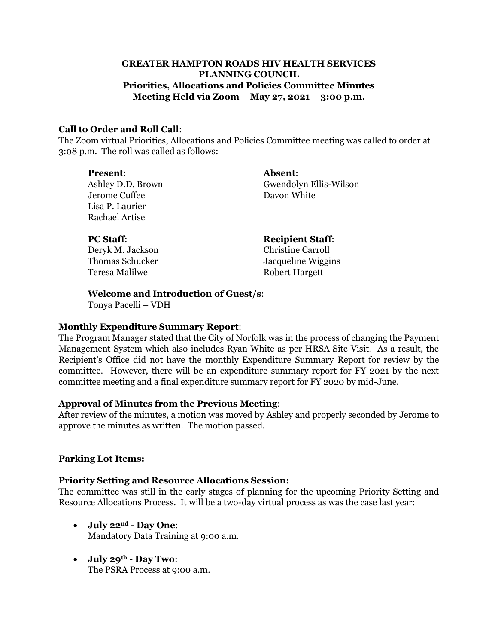## **GREATER HAMPTON ROADS HIV HEALTH SERVICES PLANNING COUNCIL Priorities, Allocations and Policies Committee Minutes Meeting Held via Zoom – May 27, 2021 – 3:00 p.m.**

### **Call to Order and Roll Call**:

The Zoom virtual Priorities, Allocations and Policies Committee meeting was called to order at 3:08 p.m. The roll was called as follows:

| <b>Present:</b>   | <b>Absent:</b>           |
|-------------------|--------------------------|
| Ashley D.D. Brown | Gwendolyn Ellis-Wilson   |
| Jerome Cuffee     | Davon White              |
| Lisa P. Laurier   |                          |
| Rachael Artise    |                          |
|                   |                          |
| <b>PC Staff:</b>  | <b>Recipient Staff:</b>  |
| Deryk M. Jackson  | <b>Christine Carroll</b> |

Thomas Schucker Jacqueline Wiggins Teresa Malilwe **Robert Hargett** 

**Welcome and Introduction of Guest/s**:

Tonya Pacelli – VDH

### **Monthly Expenditure Summary Report**:

The Program Manager stated that the City of Norfolk was in the process of changing the Payment Management System which also includes Ryan White as per HRSA Site Visit. As a result, the Recipient's Office did not have the monthly Expenditure Summary Report for review by the committee. However, there will be an expenditure summary report for FY 2021 by the next committee meeting and a final expenditure summary report for FY 2020 by mid-June.

#### **Approval of Minutes from the Previous Meeting**:

After review of the minutes, a motion was moved by Ashley and properly seconded by Jerome to approve the minutes as written. The motion passed.

### **Parking Lot Items:**

#### **Priority Setting and Resource Allocations Session:**

The committee was still in the early stages of planning for the upcoming Priority Setting and Resource Allocations Process. It will be a two-day virtual process as was the case last year:

- **July 22nd - Day One**: Mandatory Data Training at 9:00 a.m.
- **July 29th - Day Two**: The PSRA Process at 9:00 a.m.